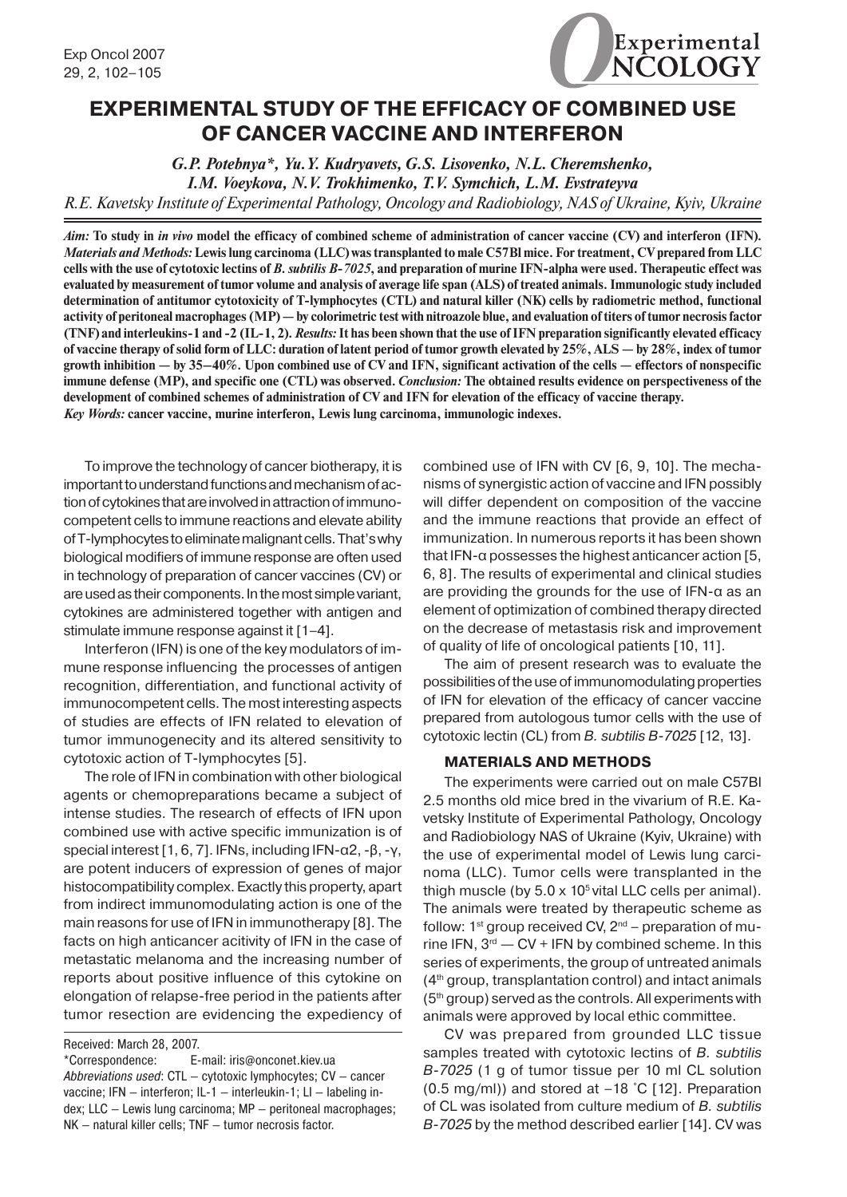

# **EXPERIMENTAL STUDY OF THE EFFICACY OF COMBINED USE OF CANCER VACCINE AND INTERFERON**

*G.P. Potebnya\*, Yu.Y. Kudryavets, G.S. Lisovenko, N.L. Cheremshenko, I.M. Voeykova, N.V. Trokhimenko, T.V. Symchich, L.M. Evstrateyva R.E. Kavetsky Institute of Experimental Pathology, Oncology and Radiobiology, NAS of Ukraine, Kyiv, Ukraine*

*Aim:* **To study in** *in vivo* **model the efficacy of combined scheme of administration of cancer vaccine (CV) and interferon (IFN).**  *Materials and Methods:* **Lewis lung carcinoma (LLC) was transplanted to male C57Bl mice. For treatment, CV prepared from LLC cells with the use of cytotoxic lectins of** *B. subtilis B-7025***, and preparation of murine IFN-alpha were used. Therapeutic effect was evaluated by measurement of tumor volume and analysis of average life span (ALS) of treated animals. Immunologic study included determination of antitumor cytotoxicity of T-lymphocytes (CTL) and natural killer (NK) cells by radiometric method, functional activity of peritoneal macrophages (MP) — by colorimetric test with nitroazole blue, and evaluation of titers of tumor necrosis factor (TNF) and interleukins-1 and -2 (IL-1, 2).** *Results:* **It has been shown that the use of IFN preparation significantly elevated efficacy of vaccine therapy of solid form of LLC: duration of latent period of tumor growth elevated by 25%, ALS — by 28%, index of tumor growth inhibition — by 35–40%. Upon combined use of CV and IFN, significant activation of the cells — effectors of nonspecific immune defense (MP), and specific one (CTL) was observed.** *Conclusion:* **The obtained results evidence on perspectiveness of the development of combined schemes of administration of CV and IFN for elevation of the efficacy of vaccine therapy.** *Key Words:* **cancer vaccine, murine interferon, Lewis lung carcinoma, immunologic indexes.**

To improve the technology of cancer biotherapy, it is important to understand functions and mechanism of action of cytokines that are involved in attraction of immunocompetent cells to immune reactions and elevate ability ofT-lymphocytestoeliminatemalignantcells.That'swhy biological modifiers of immune response are often used in technology of preparation of cancer vaccines (CV) or are used as their components. In the most simple variant, cytokines are administered together with antigen and stimulate immune response against it [1–4].

Interferon (IFN) is one of the key modulators of immune response influencing the processes of antigen recognition, differentiation, and functional activity of immunocompetent cells. The mostinteresting aspects of studies are effects of IFN related to elevation of tumor immunogenecity and its altered sensitivity to cytotoxic action of T-lymphocytes [5].

The role of IFN in combination with other biological agents or chemopreparations became a subject of intense studies. The research of effects of IFN upon combined use with active specific immunization is of special interest[1, 6, 7]. IFNs, including IFN-α2, -β, -γ, are potent inducers of expression of genes of major histocompatibility complex. Exactly this property, apart from indirect immunomodulating action is one of the main reasons for use of IFN in immunotherapy [8]. The facts on high anticancer acitivity of IFN in the case of metastatic melanoma and the increasing number of reports about positive influence of this cytokine on elongation of relapse-free period in the patients after tumor resection are evidencing the expediency of

Received: March 28, 2007.

\*Correspondence: E-mail: iris@onconet.kiev.ua *Abbreviations used*: CTL — cytotoxic lymphocytes; CV — cancer vaccine; IFN — interferon; IL-1 — interleukin-1; LI — labeling index; LLC — Lewis lung carcinoma; MP — peritoneal macrophages; NK — natural killer cells; TNF — tumor necrosis factor.

combined use of IFN with CV [6, 9, 10]. The mechanisms of synergistic action of vaccine and IFN possibly will differ dependent on composition of the vaccine and the immune reactions that provide an effect of immunization. In numerous reports it has been shown that IFN-α possesses the highest anticancer action [5, 6, 8]. The results of experimental and clinical studies are providing the grounds for the use of IFN-α as an element of optimization of combined therapy directed on the decrease of metastasis risk and improvement of quality of life of oncological patients [10, 11].

The aim of present research was to evaluate the possibilities of the use of immunomodulating properties of IFN for elevation of the efficacy of cancer vaccine prepared from autologous tumor cells with the use of cytotoxic lectin (CL) from *B. subtilis B-7025* [12, 13].

#### **MATERIALS AND METHODS**

The experiments were carried out on male С57Вl 2.5 months old mice bred in the vivarium of R.E. Kavetsky Institute of Experimental Pathology, Oncology and Radiobiology NAS of Ukraine (Kyiv, Ukraine) with the use of experimental model of Lewis lung carcinoma (LLC). Tumor cells were transplanted in the thigh muscle (by  $5.0 \times 10^5$  vital LLC cells per animal). The animals were treated by therapeutic scheme as follow:  $1^{st}$  group received CV,  $2^{nd}$  – preparation of murine IFN,  $3<sup>rd</sup>$  - CV + IFN by combined scheme. In this series of experiments, the group of untreated animals  $(4<sup>th</sup>$  group, transplantation control) and intact animals  $(5<sup>th</sup>$  group) served as the controls. All experiments with animals were approved by local ethic committee.

CV was prepared from grounded LLC tissue samples treated with cytotoxic lectins of *В. subtilis B-7025* (1 g of tumor tissue per 10 ml CL solution (0.5 mg/ml)) and stored at –18 ˚С [12]. Preparation of CL was isolated from culture medium of *В. subtilis B-7025* by the method described earlier [14]. CV was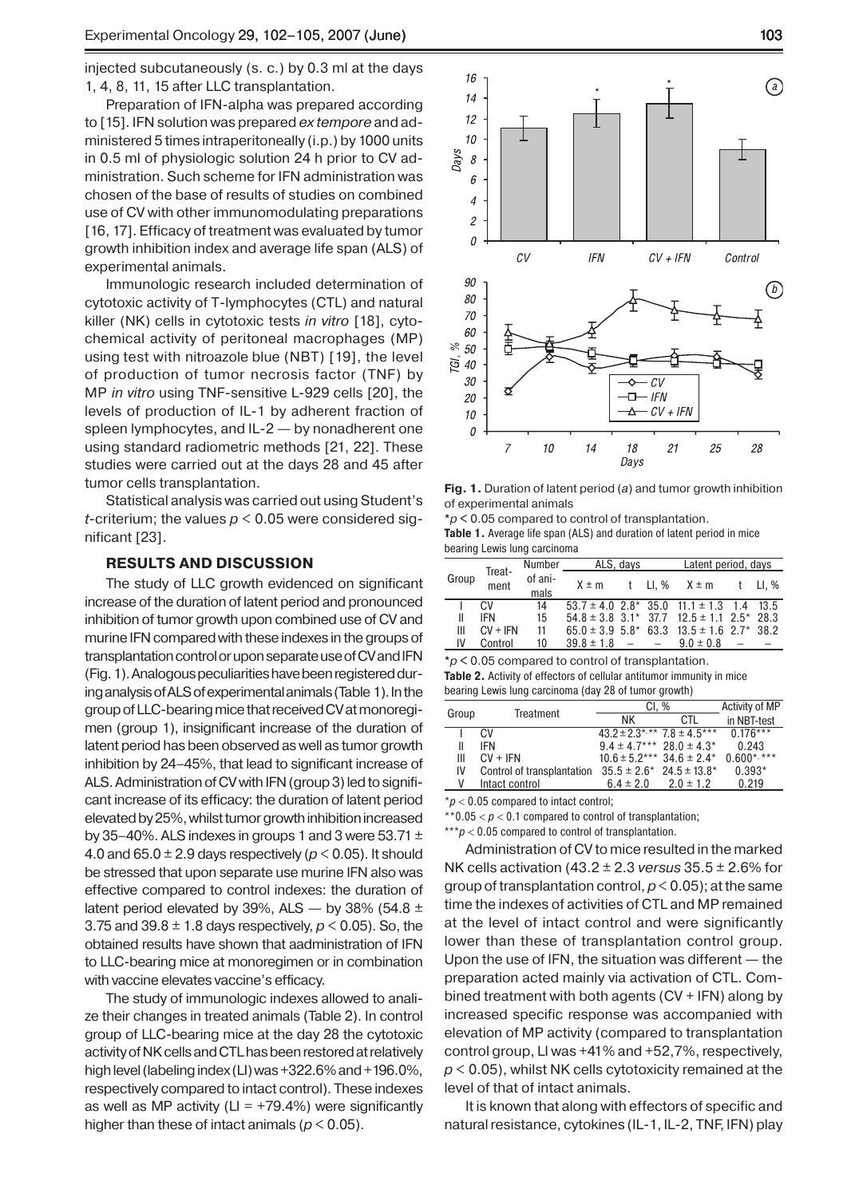injected subcutaneously (s. c.) by 0.3 ml at the days 1, 4, 8, 11, 15 after LLC transplantation.

Preparation of IFN-alpha was prepared according to [15]. IFN solution was prepared *ex tempore* and administered 5 times intraperitoneally (i.p.) by 1000 units in 0.5 ml of physiologic solution 24 h prior to CV administration. Such scheme for IFN administration was chosen of the base of results of studies on combined use of CV with other immunomodulating preparations [16, 17]. Efficacy of treatment was evaluated by tumor growth inhibition index and average life span (ALS) of experimental animals.

Immunologic research included determination of cytotoxic activity of T-lymphocytes (CTL) and natural killer (NK) cells in cytotoxic tests *in vitro* [18], cytochemical activity of peritoneal macrophages (MP) using test with nitroazole blue (NBT) [19], the level of production of tumor necrosis factor (TNF) by MP *in vitro* using TNF-sensitive L-929 cells [20], the levels of production of IL-1 by adherent fraction of spleen lymphocytes, and IL-2 — by nonadherent one using standard radiometric methods [21, 22]. These studies were carried out at the days 28 and 45 after tumor cells transplantation.

Statistical analysis was carried out using Student's *t*-criterium; the values *p* < 0.05 were considered significant [23].

### **RESULTS AND DISCUSSION**

The study of LLC growth evidenced on significant increase of the duration of latent period and pronounced inhibition of tumor growth upon combined use of CV and murine IFN compared with these indexes in the groups of transplantation control or upon separate use of CV and IFN (Fig. 1). Analogous peculiarities have been registered during analysis of ALS of experimental animals (Table 1). In the group of LLC-bearing mice that received CV at monoregimen (group 1), insignificant increase of the duration of latent period has been observed as well as tumor growth inhibition by 24–45%, that lead to significant increase of ALS. Administration of CV with IFN (group 3) led to significant increase of its efficacy: the duration of latent period elevated by 25%, whilst tumor growth inhibition increased by 35–40%. ALS indexes in groups 1 and 3 were 53.71  $\pm$ 4.0 and  $65.0 \pm 2.9$  days respectively ( $p < 0.05$ ). It should be stressed that upon separate use murine IFN also was effective compared to control indexes: the duration of latent period elevated by 39%, ALS  $-$  by 38% (54.8  $\pm$ 3.75 and 39.8 ± 1.8 days respectively, *p* < 0.05). So, the obtained results have shown that aadministration of IFN to LLC-bearing mice at monoregimen or in combination with vaccine elevates vaccine's efficacy.

The study of immunologic indexes allowed to analize their changes in treated animals (Table 2). In control group of LLC-bearing mice at the day 28 the cytotoxic activity of NK cells and CTL has been restored at relatively high level (labeling index (LI) was +322.6% and +196.0%, respectively compared to intact control). These indexes as well as MP activity ( $LI = +79.4\%$ ) were significantly higher than these of intact animals (*p* < 0.05).



**Fig. 1.** Duration of latent period (*a*) and tumor growth inhibition of experimental animals

**\****p* **<** 0.05 compared to control of transplantation.

**Table 1.** Average life span (ALS) and duration of latent period in mice bearing Lewis lung carcinoma

| Group | Treat-<br>ment | Number          | ALS, days          |  |  | Latent period, days                               |  |        |
|-------|----------------|-----------------|--------------------|--|--|---------------------------------------------------|--|--------|
|       |                | of ani-<br>mals | $X \pm m$          |  |  | t LI, % X ± m                                     |  | t Ll.% |
|       | CV.            | 14              |                    |  |  | $53.7 \pm 4.0$ 2.8* 35.0 11.1 $\pm$ 1.3 1.4 13.5  |  |        |
| Ш     | <b>IFN</b>     | 15              |                    |  |  | $54.8 \pm 3.8$ 3.1* 37.7 12.5 $\pm$ 1.1 2.5* 28.3 |  |        |
| Ш     | $CV + IFN$     | 11              |                    |  |  | $65.0 \pm 3.9$ 5.8* 63.3 13.5 $\pm$ 1.6 2.7* 38.2 |  |        |
| IV    | Control        | 10              | $39.8 \pm 1.8$ - - |  |  | $9.0 \pm 0.8$                                     |  |        |

**\****p* **<** 0.05 compared to control of transplantation. **Table 2.** Activity of effectors of cellular antitumor immunity in mice bearing Lewis lung carcinoma (day 28 of tumor growth)

|       | Treatment                  | CI, %                                         | Activity of MP |                |
|-------|----------------------------|-----------------------------------------------|----------------|----------------|
| Group |                            | ΝK                                            | CTI            | in NBT-test    |
|       | CV.                        | $43.2 \pm 2.3$ *,** $7.8 \pm 4.5$ ***         |                | $0.176***$     |
| Ш     | IFN                        | $9.4 \pm 4.7***$ 28.0 $\pm 4.3*$              |                | 0.243          |
| Ш     | $CV + IFN$                 | $10.6 \pm 5.2***$ 34.6 $\pm 2.4*$             |                | $0.600$ *, *** |
| IV    | Control of transplantation | $35.5 \pm 2.6^*$ 24.5 $\pm$ 13.8 <sup>*</sup> |                | $0.393*$       |
|       | Intact control             | $6.4 \pm 2.0$                                 | $2.0 \pm 1.2$  | 0.219          |
|       |                            |                                               |                |                |

\**р* < 0.05 compared to intact control;

\*\* $0.05 < p < 0.1$  compared to control of transplantation;

\*\*\**р* < 0.05 compared to control of transplantation.

Administration of CV to mice resulted in the marked NK cells activation (43.2 ± 2.3 *versus* 35.5 ± 2.6% for group of transplantation control,  $p < 0.05$ ); at the same time the indexes of activities of CTL and MP remained at the level of intact control and were significantly lower than these of transplantation control group. Upon the use of IFN, the situation was different — the preparation acted mainly via activation of CTL. Combined treatment with both agents (CV + IFN) along by increased specific response was accompanied with elevation of MP activity (compared to transplantation control group, LI was +41% and +52,7%, respectively, *p* < 0.05), whilst NK cells cytotoxicity remained at the level of that of intact animals.

It is known that along with effectors of specific and natural resistance, cytokines (IL-1, IL-2, TNF, IFN) play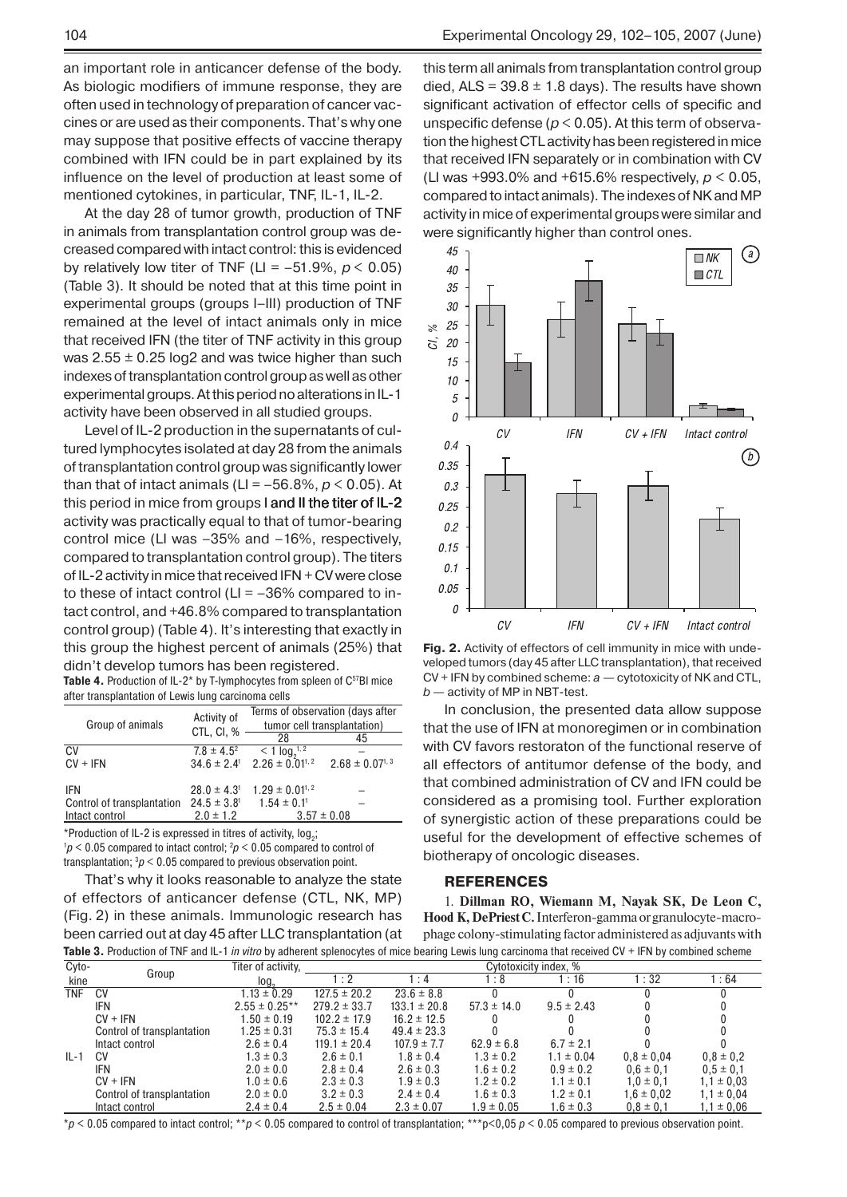an important role in anticancer defense of the body. As biologic modifiers of immune response, they are often used in technology of preparation of cancer vaccines or are used as their components. That's why one may suppose that positive effects of vaccine therapy combined with IFN could be in part explained by its influence on the level of production at least some of mentioned cytokines, in particular, TNF, IL-1, IL-2.

At the day 28 of tumor growth, production of TNF in animals from transplantation control group was decreased compared with intact control: this is evidenced by relatively low titer of TNF (LI = –51.9%, *р* < 0.05) (Table 3). It should be noted that at this time point in experimental groups (groups І–ІІІ) production of TNF remained at the level of intact animals only in mice that received IFN (the titer of TNF activity in this group was  $2.55 \pm 0.25$  log2 and was twice higher than such indexes of transplantation control group as well as other experimental groups. At this period no alterations in IL-1 activity have been observed in all studied groups.

Level of IL-2 production in the supernatants of cultured lymphocytes isolated at day 28 from the animals of transplantation control group was significantly lower than that of intact animals ( $LI = -56.8\%$ ,  $p < 0.05$ ). At this period in mice from groups I and II the titer of IL-2 activity was practically equal to that of tumor-bearing control mice (LI was –35% and –16%, respectively, compared to transplantation control group). The titers of IL-2 activity in mice that received IFN  $+$  CV were close to these of intact control ( $LI = -36\%$  compared to intact control, and +46.8% compared to transplantation control group) (Table 4). It's interesting that exactly in this group the highest percent of animals (25%) that didn't develop tumors has been registered.

Table 4. Production of IL-2<sup>\*</sup> by T-lymphocytes from spleen of C<sup>57</sup>Bl mice after transplantation of Lewis lung carcinoma cells

| Group of animals           | Activity of<br>CTL, CI, %   | Terms of observation (days after<br>tumor cell transplantation) |                                 |  |  |
|----------------------------|-----------------------------|-----------------------------------------------------------------|---------------------------------|--|--|
|                            |                             | 28                                                              | 45                              |  |  |
| CV.                        | $7.8 \pm 4.5^2$             | $< 1 log21, 22.26 ± 0.011, 2$                                   |                                 |  |  |
| $CV + IFN$                 | $34.6 \pm 2.4$ <sup>1</sup> |                                                                 | $2.68 \pm 0.07$ <sup>1, 3</sup> |  |  |
| IFN                        | $28.0 \pm 4.3$ <sup>1</sup> | $1.29 \pm 0.01^{1,2}$                                           |                                 |  |  |
| Control of transplantation | $24.5 \pm 3.8$ <sup>1</sup> | $1.54 \pm 0.1$ <sup>1</sup>                                     |                                 |  |  |
| Intact control             | $2.0 \pm 1.2$               | $3.57 \pm 0.08$                                                 |                                 |  |  |

\*Production of IL-2 is expressed in titres of activity,  $log_2$ ;

 $1p < 0.05$  compared to intact control;  $2p < 0.05$  compared to control of transplantation;  $3p < 0.05$  compared to previous observation point.

That's why it looks reasonable to analyze the state of effectors of anticancer defense (CTL, NK, MP) (Fig. 2) in these animals. Immunologic research has been carried out at day 45 after LLC transplantation (at this term all animals from transplantation control group died, ALS =  $39.8 \pm 1.8$  days). The results have shown significant activation of effector cells of specific and unspecific defense (*p* < 0.05). At this term of observation the highest CTL activity has been registered in mice that received IFN separately or in combination with CV (LI was +993.0% and +615.6% respectively, *p* < 0.05, compared to intact animals). The indexes of NK and MP activity in mice of experimental groups were similar and were significantly higher than control ones.



**Fig. 2.** Activity of effectors of cell immunity in mice with undeveloped tumors (day 45 after LLC transplantation), that received CV + IFN by combined scheme: *a* — cytotoxicity of NK and CTL, *b* — activity of MP in NBT-test.

In conclusion, the presented data allow suppose that the use of IFN at monoregimen or in combination with CV favors restoraton of the functional reserve of all effectors of antitumor defense of the body, and that combined administration of CV and IFN could be considered as a promising tool. Further exploration of synergistic action of these preparations could be useful for the development of effective schemes of biotherapy of oncologic diseases.

### **REFERENCES**

1. **Dillman RO, Wiemann M, Nayak SK, De Leon C, Hood K, DePriest C.** Interferon-gamma or granulocyte-macrophage colony-stimulating factor administered as adjuvants with **Table 3.** Production of TNF and IL-1 *in vitro* by adherent splenocytes of mice bearing Lewis lung carcinoma that received CV + IFN by combined scheme

| Cyto-  |                            | Titer of activity, | Cytotoxicity index. % |                  |                 |                |                |                |
|--------|----------------------------|--------------------|-----------------------|------------------|-----------------|----------------|----------------|----------------|
| kine   | Group                      | log.               | $\cdot$ 2             | $\therefore$ 4   | : 8             | :16            | :32            | 1:64           |
| TNF    | <b>CV</b>                  | $1.13 \pm 0.29$    | $127.5 \pm 20.2$      | $23.6 \pm 8.8$   |                 |                |                |                |
|        | IFN                        | $2.55 \pm 0.25***$ | $279.2 \pm 33.7$      | $133.1 \pm 20.8$ | $57.3 \pm 14.0$ | $9.5 \pm 2.43$ |                |                |
|        | $CV + IFN$                 | $1.50 \pm 0.19$    | $102.2 \pm 17.9$      | $16.2 \pm 12.5$  |                 |                |                |                |
|        | Control of transplantation | $1.25 \pm 0.31$    | $75.3 \pm 15.4$       | $49.4 \pm 23.3$  |                 |                |                |                |
|        | Intact control             | $2.6 \pm 0.4$      | $119.1 \pm 20.4$      | $107.9 \pm 7.7$  | $62.9 \pm 6.8$  | $6.7 \pm 2.1$  |                |                |
| $IL-1$ | CV                         | $1.3 \pm 0.3$      | $2.6 \pm 0.1$         | $1.8 \pm 0.4$    | $1.3 \pm 0.2$   | $1.1 \pm 0.04$ | $0.8 \pm 0.04$ | $0.8 \pm 0.2$  |
|        | <b>IFN</b>                 | $2.0 \pm 0.0$      | $2.8 \pm 0.4$         | $2.6 \pm 0.3$    | $1.6 \pm 0.2$   | $0.9 \pm 0.2$  | $0.6 \pm 0.1$  | $0.5 \pm 0.1$  |
|        | $CV + IFN$                 | $1.0 \pm 0.6$      | $2.3 \pm 0.3$         | $1.9 \pm 0.3$    | $1.2 \pm 0.2$   | $1.1 \pm 0.1$  | $1.0 \pm 0.1$  | $1.1 \pm 0.03$ |
|        | Control of transplantation | $2.0 \pm 0.0$      | $3.2 \pm 0.3$         | $2.4 \pm 0.4$    | $1.6 \pm 0.3$   | $1.2 \pm 0.1$  | $1.6 \pm 0.02$ | $1,1 \pm 0.04$ |
|        | Intact control             | $2.4 \pm 0.4$      | $2.5 \pm 0.04$        | $2.3 \pm 0.07$   | $1.9 \pm 0.05$  | $1.6 \pm 0.3$  | $0.8 \pm 0.1$  | $1.1 \pm 0.06$ |

\**p* < 0.05 compared to intact control; \*\**p* < 0.05 compared to control of transplantation; \*\*\*p<0,05 *p* < 0.05 compared to previous observation point.